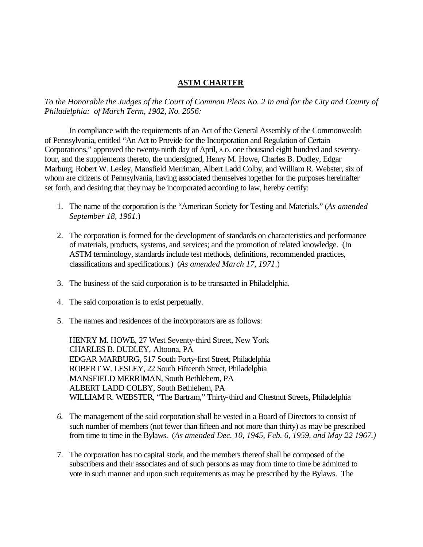## **ASTM CHARTER**

*To the Honorable the Judges of the Court of Common Pleas No. 2 in and for the City and County of Philadelphia: of March Term, 1902, No. 2056:*

In compliance with the requirements of an Act of the General Assembly of the Commonwealth of Pennsylvania, entitled "An Act to Provide for the Incorporation and Regulation of Certain Corporations," approved the twenty-ninth day of April, A.D. one thousand eight hundred and seventyfour, and the supplements thereto, the undersigned, Henry M. Howe, Charles B. Dudley, Edgar Marburg, Robert W. Lesley, Mansfield Merriman, Albert Ladd Colby, and William R. Webster, six of whom are citizens of Pennsylvania, having associated themselves together for the purposes hereinafter set forth, and desiring that they may be incorporated according to law, hereby certify:

- 1. The name of the corporation is the "American Society for Testing and Materials." (*As amended September 18, 1961*.)
- 2. The corporation is formed for the development of standards on characteristics and performance of materials, products, systems, and services; and the promotion of related knowledge. (In ASTM terminology, standards include test methods, definitions, recommended practices, classifications and specifications.) (*As amended March 17, 1971*.)
- 3. The business of the said corporation is to be transacted in Philadelphia.
- 4. The said corporation is to exist perpetually.
- 5. The names and residences of the incorporators are as follows:

HENRY M. HOWE, 27 West Seventy-third Street, New York CHARLES B. DUDLEY, Altoona, PA EDGAR MARBURG, 517 South Forty-first Street, Philadelphia ROBERT W. LESLEY, 22 South Fifteenth Street, Philadelphia MANSFIELD MERRIMAN, South Bethlehem, PA ALBERT LADD COLBY, South Bethlehem, PA WILLIAM R. WEBSTER, "The Bartram," Thirty-third and Chestnut Streets, Philadelphia

- *6.* The management of the said corporation shall be vested in a Board of Directors to consist of such number of members (not fewer than fifteen and not more than thirty) as may be prescribed from time to time in the Bylaws. (*As amended Dec. 10, 1945, Feb. 6, 1959, and May 22 1967.)*
- 7. The corporation has no capital stock, and the members thereof shall be composed of the subscribers and their associates and of such persons as may from time to time be admitted to vote in such manner and upon such requirements as may be prescribed by the Bylaws. The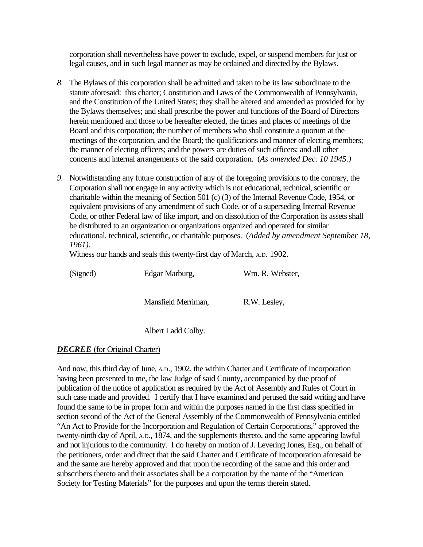corporation shall nevertheless have power to exclude, expel, or suspend members for just or legal causes, and in such legal manner as may be ordained and directed by the Bylaws.

- *8.* The Bylaws of this corporation shall be admitted and taken to be its law subordinate to the statute aforesaid: this charter; Constitution and Laws of the Commonwealth of Pennsylvania, and the Constitution of the United States; they shall be altered and amended as provided for by the Bylaws themselves; and shall prescribe the power and functions of the Board of Directors herein mentioned and those to be hereafter elected, the times and places of meetings of the Board and this corporation; the number of members who shall constitute a quorum at the meetings of the corporation, and the Board; the qualifications and manner of electing members; the manner of electing officers; and the powers are duties of such officers; and all other concerns and internal arrangements of the said corporation. (*As amended Dec. 10 1945.)*
- *9.* Notwithstanding any future construction of any of the foregoing provisions to the contrary, the Corporation shall not engage in any activity which is not educational, technical, scientific or charitable within the meaning of Section 501 (c) (3) of the Internal Revenue Code, 1954, or equivalent provisions of any amendment of such Code, or of a superseding Internal Revenue Code, or other Federal law of like import, and on dissolution of the Corporation its assets shall be distributed to an organization or organizations organized and operated for similar educational, technical, scientific, or charitable purposes. (*Added by amendment September 18, 1961).*

Witness our hands and seals this twenty-first day of March, A.D. 1902.

(Signed) Edgar Marburg, Wm. R. Webster,

Mansfield Merriman, R.W. Lesley,

Albert Ladd Colby.

## *DECREE* (for Original Charter)

And now, this third day of June, A.D., 1902, the within Charter and Certificate of Incorporation having been presented to me, the law Judge of said County, accompanied by due proof of publication of the notice of application as required by the Act of Assembly and Rules of Court in such case made and provided. I certify that I have examined and perused the said writing and have found the same to be in proper form and within the purposes named in the first class specified in section second of the Act of the General Assembly of the Commonwealth of Pennsylvania entitled "An Act to Provide for the Incorporation and Regulation of Certain Corporations," approved the twenty-ninth day of April, A.D., 1874, and the supplements thereto, and the same appearing lawful and not injurious to the community. I do hereby on motion of J. Levering Jones, Esq., on behalf of the petitioners, order and direct that the said Charter and Certificate of Incorporation aforesaid be and the same are hereby approved and that upon the recording of the same and this order and subscribers thereto and their associates shall be a corporation by the name of the "American Society for Testing Materials" for the purposes and upon the terms therein stated.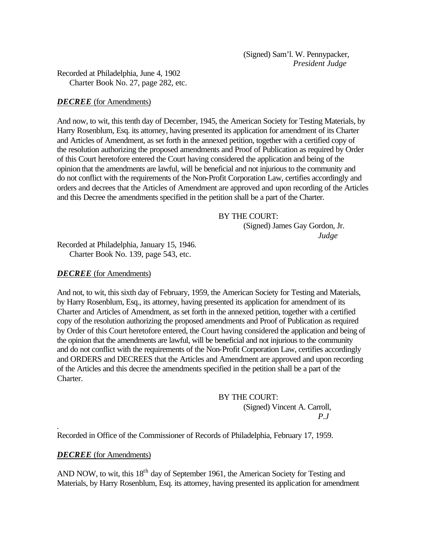(Signed) Sam'l. W. Pennypacker, *President Judge*

Recorded at Philadelphia, June 4, 1902 Charter Book No. 27, page 282, etc.

#### *DECREE* (for Amendments)

And now, to wit, this tenth day of December, 1945, the American Society for Testing Materials, by Harry Rosenblum, Esq. its attorney, having presented its application for amendment of its Charter and Articles of Amendment, as set forth in the annexed petition, together with a certified copy of the resolution authorizing the proposed amendments and Proof of Publication as required by Order of this Court heretofore entered the Court having considered the application and being of the opinion that the amendments are lawful, will be beneficial and not injurious to the community and do not conflict with the requirements of the Non-Profit Corporation Law, certifies accordingly and orders and decrees that the Articles of Amendment are approved and upon recording of the Articles and this Decree the amendments specified in the petition shall be a part of the Charter.

## BY THE COURT:

(Signed) James Gay Gordon, Jr. *Judge*

Recorded at Philadelphia, January 15, 1946. Charter Book No. 139, page 543, etc.

## *DECREE* (for Amendments)

And not, to wit, this sixth day of February, 1959, the American Society for Testing and Materials, by Harry Rosenblum, Esq., its attorney, having presented its application for amendment of its Charter and Articles of Amendment, as set forth in the annexed petition, together with a certified copy of the resolution authorizing the proposed amendments and Proof of Publication as required by Order of this Court heretofore entered, the Court having considered the application and being of the opinion that the amendments are lawful, will be beneficial and not injurious to the community and do not conflict with the requirements of the Non-Profit Corporation Law, certifies accordingly and ORDERS and DECREES that the Articles and Amendment are approved and upon recording of the Articles and this decree the amendments specified in the petition shall be a part of the Charter.

## BY THE COURT:

(Signed) Vincent A. Carroll, *P.J*

Recorded in Office of the Commissioner of Records of Philadelphia, February 17, 1959.

## *DECREE* (for Amendments)

*.*

AND NOW, to wit, this 18<sup>th</sup> day of September 1961, the American Society for Testing and Materials, by Harry Rosenblum, Esq. its attorney, having presented its application for amendment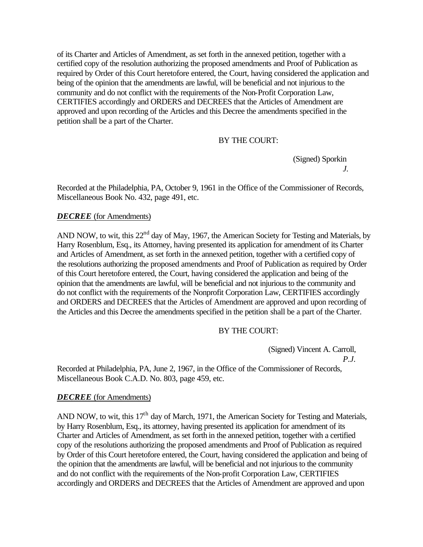of its Charter and Articles of Amendment, as set forth in the annexed petition, together with a certified copy of the resolution authorizing the proposed amendments and Proof of Publication as required by Order of this Court heretofore entered, the Court, having considered the application and being of the opinion that the amendments are lawful, will be beneficial and not injurious to the community and do not conflict with the requirements of the Non-Profit Corporation Law, CERTIFIES accordingly and ORDERS and DECREES that the Articles of Amendment are approved and upon recording of the Articles and this Decree the amendments specified in the petition shall be a part of the Charter.

# BY THE COURT:

(Signed) Sporkin  *J.*

Recorded at the Philadelphia, PA, October 9, 1961 in the Office of the Commissioner of Records, Miscellaneous Book No. 432, page 491, etc.

## *DECREE* (for Amendments)

AND NOW, to wit, this 22<sup>nd</sup> day of May, 1967, the American Society for Testing and Materials, by Harry Rosenblum, Esq., its Attorney, having presented its application for amendment of its Charter and Articles of Amendment, as set forth in the annexed petition, together with a certified copy of the resolutions authorizing the proposed amendments and Proof of Publication as required by Order of this Court heretofore entered, the Court, having considered the application and being of the opinion that the amendments are lawful, will be beneficial and not injurious to the community and do not conflict with the requirements of the Nonprofit Corporation Law, CERTIFIES accordingly and ORDERS and DECREES that the Articles of Amendment are approved and upon recording of the Articles and this Decree the amendments specified in the petition shall be a part of the Charter.

#### BY THE COURT:

(Signed) Vincent A. Carroll,

*P.J.*

Recorded at Philadelphia, PA, June 2, 1967, in the Office of the Commissioner of Records, Miscellaneous Book C.A.D. No. 803, page 459, etc.

#### *DECREE* (for Amendments)

AND NOW, to wit, this  $17<sup>th</sup>$  day of March, 1971, the American Society for Testing and Materials, by Harry Rosenblum, Esq., its attorney, having presented its application for amendment of its Charter and Articles of Amendment, as set forth in the annexed petition, together with a certified copy of the resolutions authorizing the proposed amendments and Proof of Publication as required by Order of this Court heretofore entered, the Court, having considered the application and being of the opinion that the amendments are lawful, will be beneficial and not injurious to the community and do not conflict with the requirements of the Non-profit Corporation Law, CERTIFIES accordingly and ORDERS and DECREES that the Articles of Amendment are approved and upon